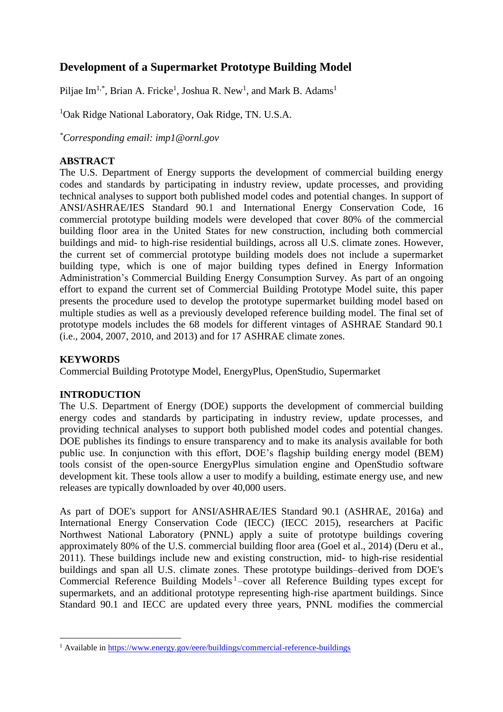# **Development of a Supermarket Prototype Building Model**

Piljae Im<sup>1,\*</sup>, Brian A. Fricke<sup>1</sup>, Joshua R. New<sup>1</sup>, and Mark B. Adams<sup>1</sup>

<sup>1</sup>Oak Ridge National Laboratory, Oak Ridge, TN. U.S.A.

*\*Corresponding email: imp1@ornl.gov*

# **ABSTRACT**

The U.S. Department of Energy supports the development of commercial building energy codes and standards by participating in industry review, update processes, and providing technical analyses to support both published model codes and potential changes. In support of ANSI/ASHRAE/IES Standard 90.1 and International Energy Conservation Code, 16 commercial prototype building models were developed that cover 80% of the commercial building floor area in the United States for new construction, including both commercial buildings and mid- to high-rise residential buildings, across all U.S. climate zones. However, the current set of commercial prototype building models does not include a supermarket building type, which is one of major building types defined in Energy Information Administration's Commercial Building Energy Consumption Survey. As part of an ongoing effort to expand the current set of Commercial Building Prototype Model suite, this paper presents the procedure used to develop the prototype supermarket building model based on multiple studies as well as a previously developed reference building model. The final set of prototype models includes the 68 models for different vintages of ASHRAE Standard 90.1 (i.e., 2004, 2007, 2010, and 2013) and for 17 ASHRAE climate zones.

## **KEYWORDS**

 $\overline{a}$ 

Commercial Building Prototype Model, EnergyPlus, OpenStudio, Supermarket

## **INTRODUCTION**

The U.S. Department of Energy (DOE) supports the development of commercial building energy codes and standards by participating in industry review, update processes, and providing technical analyses to support both published model codes and potential changes. DOE publishes its findings to ensure transparency and to make its analysis available for both public use. In conjunction with this effort, DOE's flagship building energy model (BEM) tools consist of the open-source EnergyPlus simulation engine and OpenStudio software development kit. These tools allow a user to modify a building, estimate energy use, and new releases are typically downloaded by over 40,000 users.

As part of DOE's support for ANSI/ASHRAE/IES Standard 90.1 (ASHRAE, 2016a) and International Energy Conservation Code (IECC) (IECC 2015), researchers at Pacific Northwest National Laboratory (PNNL) apply a suite of prototype buildings covering approximately 80% of the U.S. commercial building floor area (Goel et al., 2014) (Deru et al., 2011). These buildings include new and existing construction, mid- to high-rise residential buildings and span all U.S. climate zones. These prototype buildings–derived from DOE's Commercial Reference Building Models<sup>1</sup>-cover all Reference Building types except for supermarkets, and an additional prototype representing high-rise apartment buildings. Since Standard 90.1 and IECC are updated every three years, PNNL modifies the commercial

<sup>&</sup>lt;sup>1</sup> Available in<https://www.energy.gov/eere/buildings/commercial-reference-buildings>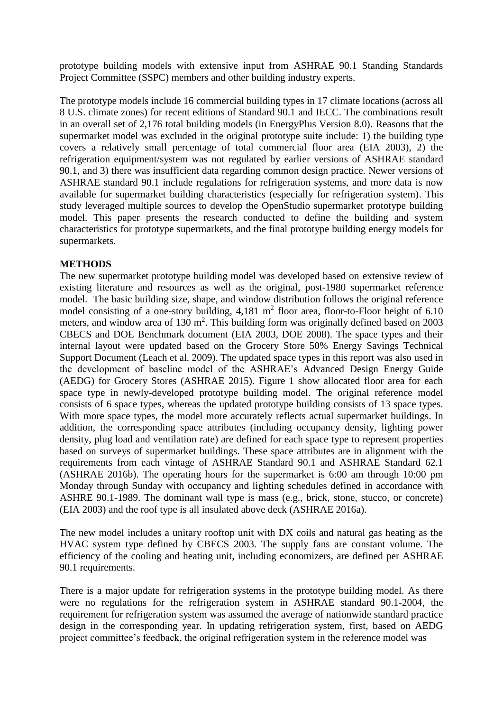prototype building models with extensive input from ASHRAE 90.1 Standing Standards Project Committee (SSPC) members and other building industry experts.

The prototype models include 16 commercial building types in 17 climate locations (across all 8 U.S. climate zones) for recent editions of Standard 90.1 and IECC. The combinations result in an overall set of 2,176 total building models (in EnergyPlus Version 8.0). Reasons that the supermarket model was excluded in the original prototype suite include: 1) the building type covers a relatively small percentage of total commercial floor area (EIA 2003), 2) the refrigeration equipment/system was not regulated by earlier versions of ASHRAE standard 90.1, and 3) there was insufficient data regarding common design practice. Newer versions of ASHRAE standard 90.1 include regulations for refrigeration systems, and more data is now available for supermarket building characteristics (especially for refrigeration system). This study leveraged multiple sources to develop the OpenStudio supermarket prototype building model. This paper presents the research conducted to define the building and system characteristics for prototype supermarkets, and the final prototype building energy models for supermarkets.

### **METHODS**

The new supermarket prototype building model was developed based on extensive review of existing literature and resources as well as the original, post-1980 supermarket reference model. The basic building size, shape, and window distribution follows the original reference model consisting of a one-story building,  $4,181 \text{ m}^2$  floor area, floor-to-Floor height of 6.10 meters, and window area of  $130 \text{ m}^2$ . This building form was originally defined based on  $2003$ CBECS and DOE Benchmark document (EIA 2003, DOE 2008). The space types and their internal layout were updated based on the Grocery Store 50% Energy Savings Technical Support Document (Leach et al. 2009). The updated space types in this report was also used in the development of baseline model of the ASHRAE's Advanced Design Energy Guide (AEDG) for Grocery Stores (ASHRAE 2015). Figure 1 show allocated floor area for each space type in newly-developed prototype building model. The original reference model consists of 6 space types, whereas the updated prototype building consists of 13 space types. With more space types, the model more accurately reflects actual supermarket buildings. In addition, the corresponding space attributes (including occupancy density, lighting power density, plug load and ventilation rate) are defined for each space type to represent properties based on surveys of supermarket buildings. These space attributes are in alignment with the requirements from each vintage of ASHRAE Standard 90.1 and ASHRAE Standard 62.1 (ASHRAE 2016b). The operating hours for the supermarket is 6:00 am through 10:00 pm Monday through Sunday with occupancy and lighting schedules defined in accordance with ASHRE 90.1-1989. The dominant wall type is mass (e.g., brick, stone, stucco, or concrete) (EIA 2003) and the roof type is all insulated above deck (ASHRAE 2016a).

The new model includes a unitary rooftop unit with DX coils and natural gas heating as the HVAC system type defined by CBECS 2003. The supply fans are constant volume. The efficiency of the cooling and heating unit, including economizers, are defined per ASHRAE 90.1 requirements.

There is a major update for refrigeration systems in the prototype building model. As there were no regulations for the refrigeration system in ASHRAE standard 90.1-2004, the requirement for refrigeration system was assumed the average of nationwide standard practice design in the corresponding year. In updating refrigeration system, first, based on AEDG project committee's feedback, the original refrigeration system in the reference model was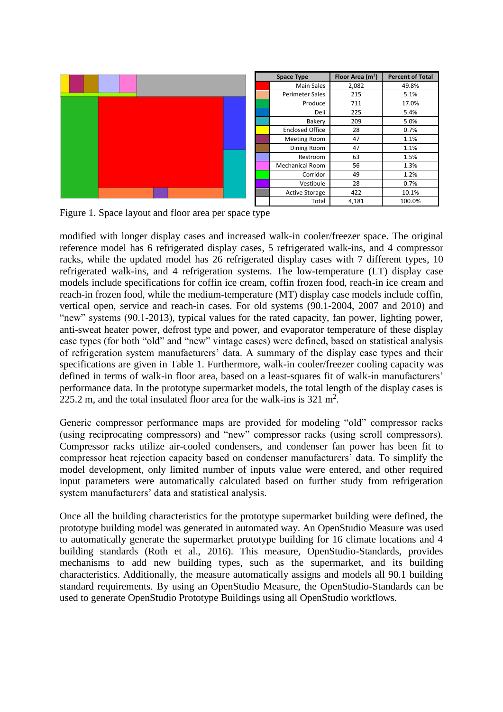

| <b>Space Type</b> |                        | Floor Area $(m2)$ | <b>Percent of Total</b> |  |
|-------------------|------------------------|-------------------|-------------------------|--|
|                   | <b>Main Sales</b>      | 2,082             | 49.8%                   |  |
|                   | <b>Perimeter Sales</b> | 215               | 5.1%                    |  |
|                   | Produce                | 711               | 17.0%                   |  |
|                   | Deli                   | 225               | 5.4%                    |  |
|                   | Bakery                 | 209               | 5.0%                    |  |
|                   | <b>Enclosed Office</b> | 28                | 0.7%                    |  |
|                   | <b>Meeting Room</b>    | 47                | 1.1%                    |  |
|                   | Dining Room            | 47                | 1.1%                    |  |
|                   | Restroom               | 63                | 1.5%                    |  |
|                   | <b>Mechanical Room</b> | 56                | 1.3%                    |  |
|                   | Corridor               | 49                | 1.2%                    |  |
|                   | Vestibule              | 28                | 0.7%                    |  |
|                   | <b>Active Storage</b>  | 422               | 10.1%                   |  |
|                   | Total                  | 4,181             | 100.0%                  |  |

Figure 1. Space layout and floor area per space type

modified with longer display cases and increased walk-in cooler/freezer space. The original reference model has 6 refrigerated display cases, 5 refrigerated walk-ins, and 4 compressor racks, while the updated model has 26 refrigerated display cases with 7 different types, 10 refrigerated walk-ins, and 4 refrigeration systems. The low-temperature (LT) display case models include specifications for coffin ice cream, coffin frozen food, reach-in ice cream and reach-in frozen food, while the medium-temperature (MT) display case models include coffin, vertical open, service and reach-in cases. For old systems (90.1-2004, 2007 and 2010) and "new" systems (90.1-2013), typical values for the rated capacity, fan power, lighting power, anti-sweat heater power, defrost type and power, and evaporator temperature of these display case types (for both "old" and "new" vintage cases) were defined, based on statistical analysis of refrigeration system manufacturers' data. A summary of the display case types and their specifications are given in Table 1. Furthermore, walk-in cooler/freezer cooling capacity was defined in terms of walk-in floor area, based on a least-squares fit of walk-in manufacturers' performance data. In the prototype supermarket models, the total length of the display cases is 225.2 m, and the total insulated floor area for the walk-ins is  $321 \text{ m}^2$ .

Generic compressor performance maps are provided for modeling "old" compressor racks (using reciprocating compressors) and "new" compressor racks (using scroll compressors). Compressor racks utilize air-cooled condensers, and condenser fan power has been fit to compressor heat rejection capacity based on condenser manufacturers' data. To simplify the model development, only limited number of inputs value were entered, and other required input parameters were automatically calculated based on further study from refrigeration system manufacturers' data and statistical analysis.

Once all the building characteristics for the prototype supermarket building were defined, the prototype building model was generated in automated way. An OpenStudio Measure was used to automatically generate the supermarket prototype building for 16 climate locations and 4 building standards (Roth et al., 2016). This measure, OpenStudio-Standards, provides mechanisms to add new building types, such as the supermarket, and its building characteristics. Additionally, the measure automatically assigns and models all 90.1 building standard requirements. By using an OpenStudio Measure, the OpenStudio-Standards can be used to generate OpenStudio Prototype Buildings using all OpenStudio workflows.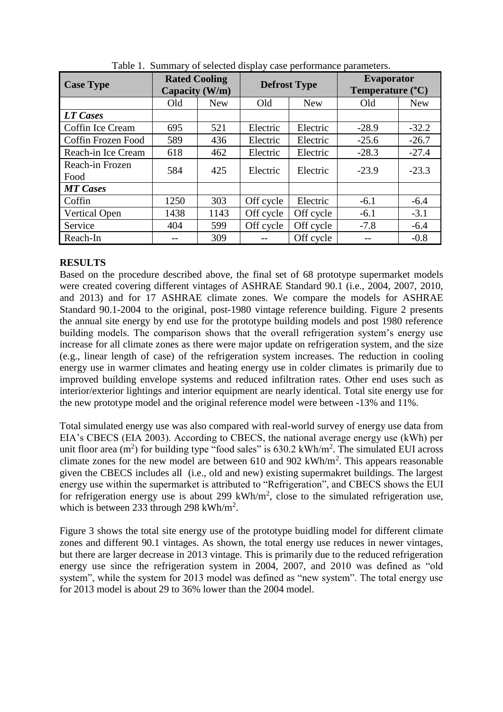| <b>Case Type</b>        | <b>Rated Cooling</b><br>Capacity (W/m) |            | <b>Defrost Type</b> |            | <b>Evaporator</b><br>Temperature (°C) |            |
|-------------------------|----------------------------------------|------------|---------------------|------------|---------------------------------------|------------|
|                         | Old                                    | <b>New</b> | Old                 | <b>New</b> | Old                                   | <b>New</b> |
| LT Cases                |                                        |            |                     |            |                                       |            |
| Coffin Ice Cream        | 695                                    | 521        | Electric            | Electric   | $-28.9$                               | $-32.2$    |
| Coffin Frozen Food      | 589                                    | 436        | Electric            | Electric   | $-25.6$                               | $-26.7$    |
| Reach-in Ice Cream      | 618                                    | 462        | Electric            | Electric   | $-28.3$                               | $-27.4$    |
| Reach-in Frozen<br>Food | 584                                    | 425        | Electric            | Electric   | $-23.9$                               | $-23.3$    |
| <b>MT</b> Cases         |                                        |            |                     |            |                                       |            |
| Coffin                  | 1250                                   | 303        | Off cycle           | Electric   | $-6.1$                                | $-6.4$     |
| <b>Vertical Open</b>    | 1438                                   | 1143       | Off cycle           | Off cycle  | $-6.1$                                | $-3.1$     |
| Service                 | 404                                    | 599        | Off cycle           | Off cycle  | $-7.8$                                | $-6.4$     |
| Reach-In                |                                        | 309        |                     | Off cycle  |                                       | $-0.8$     |

Table 1. Summary of selected display case performance parameters.

# **RESULTS**

Based on the procedure described above, the final set of 68 prototype supermarket models were created covering different vintages of ASHRAE Standard 90.1 (i.e., 2004, 2007, 2010, and 2013) and for 17 ASHRAE climate zones. We compare the models for ASHRAE Standard 90.1-2004 to the original, post-1980 vintage reference building. Figure 2 presents the annual site energy by end use for the prototype building models and post 1980 reference building models. The comparison shows that the overall refrigeration system's energy use increase for all climate zones as there were major update on refrigeration system, and the size (e.g., linear length of case) of the refrigeration system increases. The reduction in cooling energy use in warmer climates and heating energy use in colder climates is primarily due to improved building envelope systems and reduced infiltration rates. Other end uses such as interior/exterior lightings and interior equipment are nearly identical. Total site energy use for the new prototype model and the original reference model were between -13% and 11%.

Total simulated energy use was also compared with real-world survey of energy use data from EIA's CBECS (EIA 2003). According to CBECS, the national average energy use (kWh) per unit floor area (m<sup>2</sup>) for building type "food sales" is  $630.2 \text{ kWh/m}^2$ . The simulated EUI across climate zones for the new model are between  $610$  and  $902 \text{ kWh/m}^2$ . This appears reasonable given the CBECS includes all (i.e., old and new) existing supermakret buildings. The largest energy use within the supermarket is attributed to "Refrigeration", and CBECS shows the EUI for refrigeration energy use is about 299 kWh/m<sup>2</sup>, close to the simulated refrigeration use, which is between 233 through 298 kWh/m<sup>2</sup>.

Figure 3 shows the total site energy use of the prototype buidling model for different climate zones and different 90.1 vintages. As shown, the total energy use reduces in newer vintages, but there are larger decrease in 2013 vintage. This is primarily due to the reduced refrigeration energy use since the refrigeration system in 2004, 2007, and 2010 was defined as "old system", while the system for 2013 model was defined as "new system". The total energy use for 2013 model is about 29 to 36% lower than the 2004 model.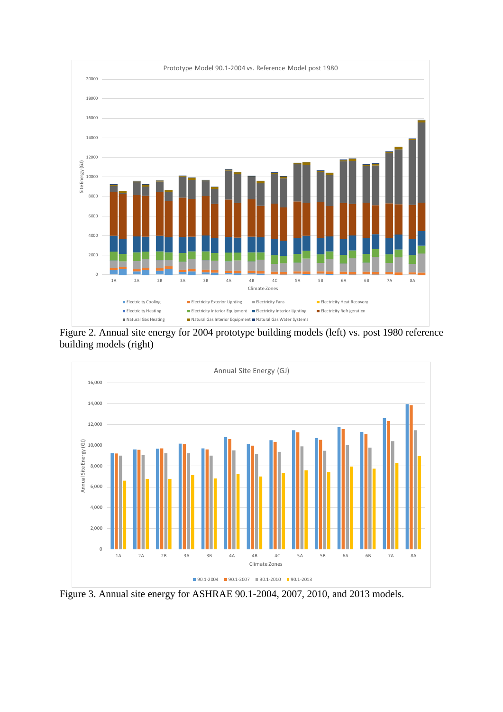

Figure 2. Annual site energy for 2004 prototype building models (left) vs. post 1980 reference building models (right)



Figure 3. Annual site energy for ASHRAE 90.1-2004, 2007, 2010, and 2013 models.